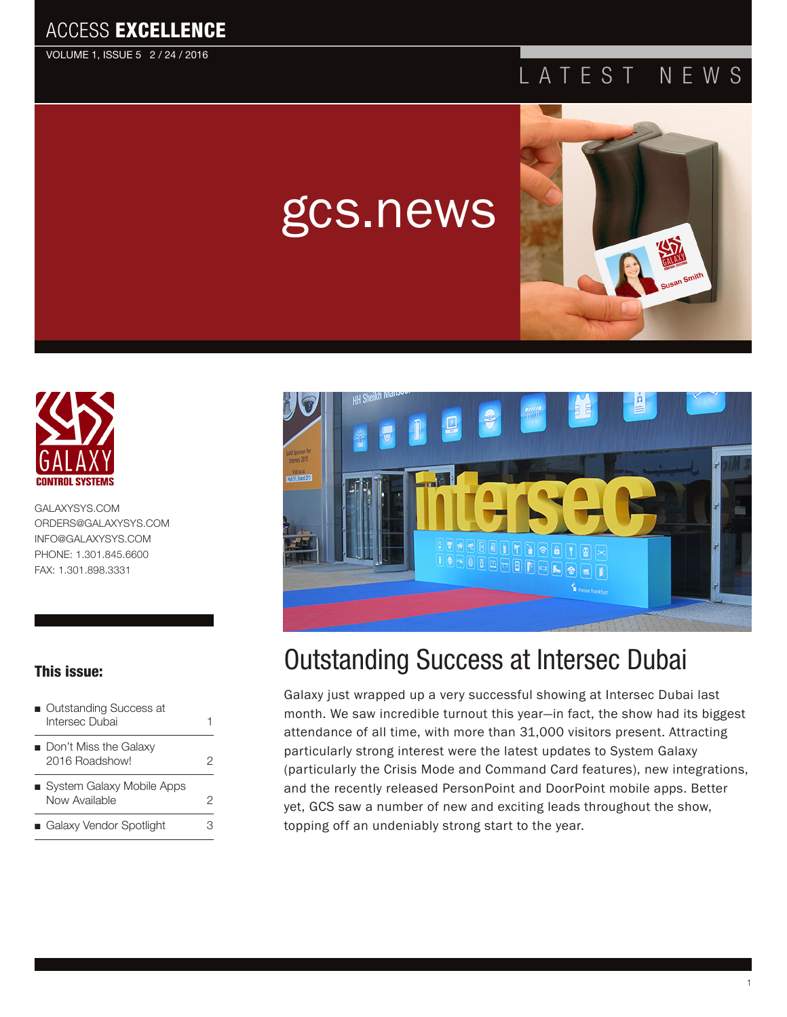VOLUME 1, ISSUE 5 2 / 24 / 2016

## ATEST NEWS



[GALAXYSYS.COM](http://www.GALAXYSYS.COM) [ORDERS@GALAXYSYS.COM](mailto:ORDERS@GALAXYSYS.COM) [INFO@GALAXYSYS.COM](http://www.INFO@GALAXYSYS.COM) PHONE: 1.301.845.6600 FAX: 1.301.898.3331

### This issue:

- Outstanding Success at Intersec Dubai 1
- Don't Miss the Galaxy 2016 Roadshow! [2](#page-2-0)
- System Galaxy Mobile Apps Now Available 2
- Galaxy Vendor Spotlight 3



# Outstanding Success at Intersec Dubai

gcs.news

Galaxy just wrapped up a very successful showing at Intersec Dubai last month. We saw incredible turnout this year—in fact, the show had its biggest attendance of all time, with more than 31,000 visitors present. Attracting particularly strong interest were the latest updates to System Galaxy (particularly the Crisis Mode and Command Card features), new integrations, and the recently released PersonPoint and DoorPoint mobile apps. Better yet, GCS saw a number of new and exciting leads throughout the show, topping off an undeniably strong start to the year.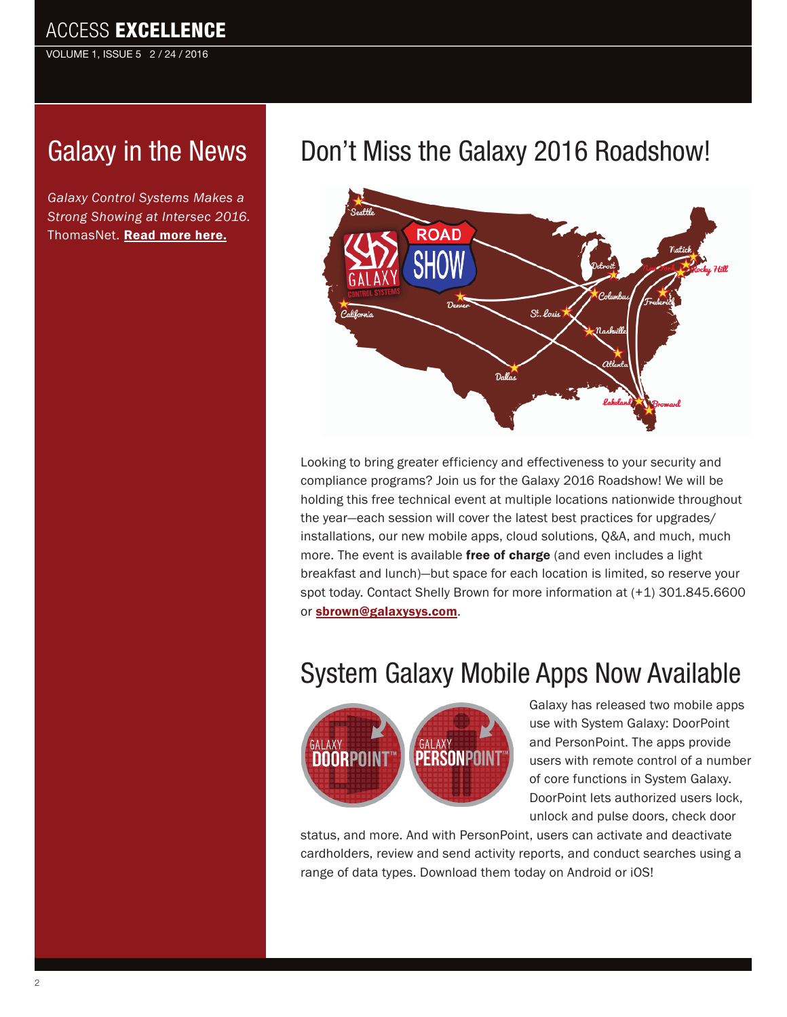VOLUME 1, ISSUE 5 2 / 24 / 2016

# [G](http://sourcesecurity.com/news/articles/co-2813-ga.15658.html)alaxy in the News

*Galaxy Control Systems Makes a Strong Showing at Intersec 2016.*  ThomasNet. [Read more here.](http://news.thomasnet.com/companystory/galaxy-control-systems-makes-a-strong-showing-at-intersec-2016-20053537)

# Don't Miss the Galaxy 2016 Roadshow!

Save The Dates



Looking to bring greater efficiency and effectiveness to your security and compliance programs? Join us for the Galaxy 2016 Roadshow! We will be holding this free technical event at multiple locations nationwide throughout the year—each session will cover the latest best practices for upgrades/ **Cloud Solutions** installations, our new mobile apps, cloud solutions, Q&A, and much, much **Mobile Apps POEP** The event is available free of charge (and even includes a light breakfast and lunch)—but space for each location is limited, so reserve your spot today. Contact Shelly Brown for more information at (+1) 301.845.6600 or [sbrown@galaxysys.com](mailto:sbrown%40galaxysys.com?subject=Galaxy%202016%20Roadshow). **applications — including those recently launched — to help improve the agility and Galaxy Control Systems Roadshow topics will include: rree or cnarge** (and Brown for more informati **Online Tech Ticket Generation**

#### System Galaxy Mobile Apps Now Available *experienced Galaxy Control Systems personnel. Take advantage of networking opportunities with other security professionals.*



Galaxy has released two mobile apps **April 14 - Frederick, MD April 20 - New York, NY** use with System Galaxy: DoorPoint **April 26 - Natick, MA April 28 - Rocky Hill, CT 18 and PersonPoint. The apps provide INLP** users with remote control of a number **August 17 of core functions in System Galaxy. DoorPoint lets authorized users lock,**  $\blacksquare$  unlock and pulse doors, check door

status, and more. And with PersonPoint, users can activate and deactivate **Registration is FREE and includes light breakfast and lunch.** cardholders, review and send activity reports, and conduct searches using a range of data types. Download them today on Android or iOS! **when capacity is reached, so don't delay.**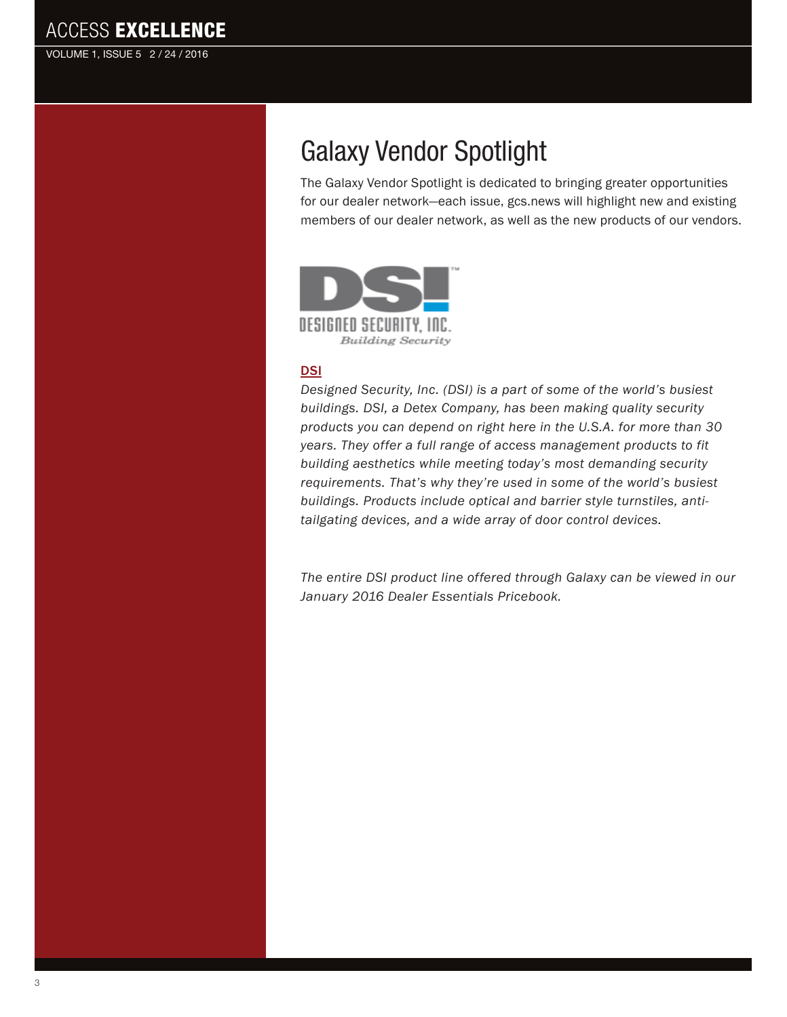<span id="page-2-0"></span>VOLUME 1, ISSUE 5 2 / 24 / 2016

# Galaxy Vendor Spotlight

The Galaxy Vendor Spotlight is dedicated to bringing greater opportunities for our dealer network—each issue, gcs.news will highlight new and existing members of our dealer network, as well as the new products of our vendors.



#### **[DSI](http://dsigo.com)**

*Designed Security, Inc. (DSI) is a part of some of the world's busiest buildings. DSI, a Detex Company, has been making quality security products you can depend on right here in the U.S.A. for more than 30 years. They offer a full range of access management products to fit building aesthetics while meeting today's most demanding security requirements. That's why they're used in some of the world's busiest buildings. Products include optical and barrier style turnstiles, antitailgating devices, and a wide array of door control devices.* 

*The entire DSI product line offered through Galaxy can be viewed in our January 2016 Dealer Essentials Pricebook.*